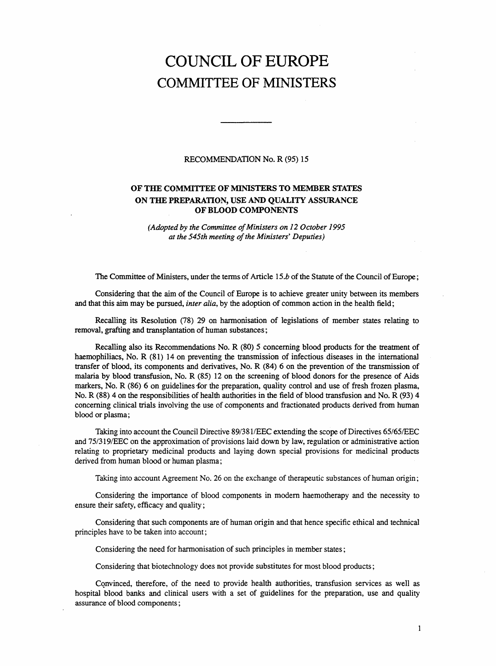## COUNCIL OF EUROPE COMMITTEE OF MINISTERS

## RECOMMENDATION No. R (95) 15

## OF THE COMMITTEE OF MINISTERS TO MEMBER STATES ON THE PREPARATION, USE AND QUALITY ASSURANCE OF BLOOD COMPONENTS

(Adopted by the Committee of Ministers on 12 October 1995 at the 545th meeting of the Ministers' Deputies)

The Committee of Ministers, under the terms of Article 15.b of the Statute of the Council of Europe;

Considering that the aim of the Council of Europe is to achieve greater unity between its members and that this aim may be pursued, *inter alia*, by the adoption of common action in the health field;

Recalling its Resolution (78) 29 on harmonisation of legislations of member states relating to removal, grafting and transplantation of human substances;

Recalling also its Recommendations No. R (80) 5 concerning blood products for the treatment of haemophiliacs, No. R (81) 14 on preventing the transmission of infectious diseases in the international transfer of blood, its components and derivatives, No. R (84) 6 on the prevention of the transmission of malaria by blood transfusion, No. R (85) 12 on the screening of blood donors for the presence of Aids markers, No. R (86) 6 on guidelines for the preparation, quality control and use of fresh frozen plasma, No. R (88) 4 on the responsibilities of health authorities in the field of blood transfusion and No. R (93) 4 concerning clinical trials involving the use of components and fractionated products derived from human blood or plasma;

Taking into account the Council Directive 89/381/EEC extending the scope of Directives 65/65/EEC and 75/319/EEC on the approximation of provisions laid down by law, regulation or administrative action relating to proprietary medicinal products and laying down special provisions for medicinal products derived from human blood or human plasma;

Taking into account Agreement No. 26 on the exchange of therapeutic substances of human origin;

Considering the importance of blood components in modern haemotherapy and the necessity to ensure their safety, efficacy and quality;

Considering that such components are of human origin and that hence specific ethical and technical principles have to be taken into account;

Considering the need for harmonisation of such principles in member states;

Considering that biotechnology does not provide substitutes for most blood products;

Convinced, therefore, of the need to provide health authorities, transfusion services as well as hospital blood banks and clinical users with a set of guidelines for the preparation, use and quality assurance of blood components;

1